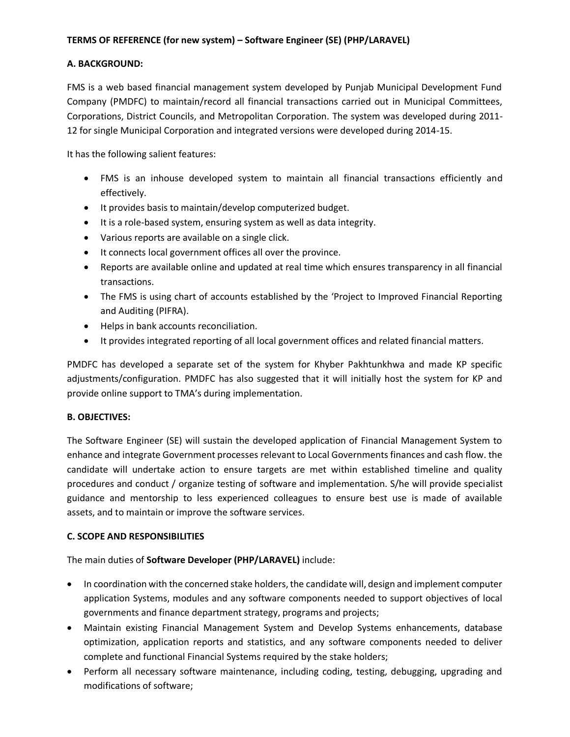# **TERMS OF REFERENCE (for new system) – Software Engineer (SE) (PHP/LARAVEL)**

### **A. BACKGROUND:**

FMS is a web based financial management system developed by Punjab Municipal Development Fund Company (PMDFC) to maintain/record all financial transactions carried out in Municipal Committees, Corporations, District Councils, and Metropolitan Corporation. The system was developed during 2011- 12 for single Municipal Corporation and integrated versions were developed during 2014-15.

It has the following salient features:

- FMS is an inhouse developed system to maintain all financial transactions efficiently and effectively.
- It provides basis to maintain/develop computerized budget.
- It is a role-based system, ensuring system as well as data integrity.
- Various reports are available on a single click.
- It connects local government offices all over the province.
- Reports are available online and updated at real time which ensures transparency in all financial transactions.
- The FMS is using chart of accounts established by the 'Project to Improved Financial Reporting and Auditing (PIFRA).
- Helps in bank accounts reconciliation.
- It provides integrated reporting of all local government offices and related financial matters.

PMDFC has developed a separate set of the system for Khyber Pakhtunkhwa and made KP specific adjustments/configuration. PMDFC has also suggested that it will initially host the system for KP and provide online support to TMA's during implementation.

### **B. OBJECTIVES:**

The Software Engineer (SE) will sustain the developed application of Financial Management System to enhance and integrate Government processes relevant to Local Governments finances and cash flow. the candidate will undertake action to ensure targets are met within established timeline and quality procedures and conduct / organize testing of software and implementation. S/he will provide specialist guidance and mentorship to less experienced colleagues to ensure best use is made of available assets, and to maintain or improve the software services.

### **C. SCOPE AND RESPONSIBILITIES**

The main duties of **Software Developer (PHP/LARAVEL)** include:

- In coordination with the concerned stake holders, the candidate will, design and implement computer application Systems, modules and any software components needed to support objectives of local governments and finance department strategy, programs and projects;
- Maintain existing Financial Management System and Develop Systems enhancements, database optimization, application reports and statistics, and any software components needed to deliver complete and functional Financial Systems required by the stake holders;
- Perform all necessary software maintenance, including coding, testing, debugging, upgrading and modifications of software;